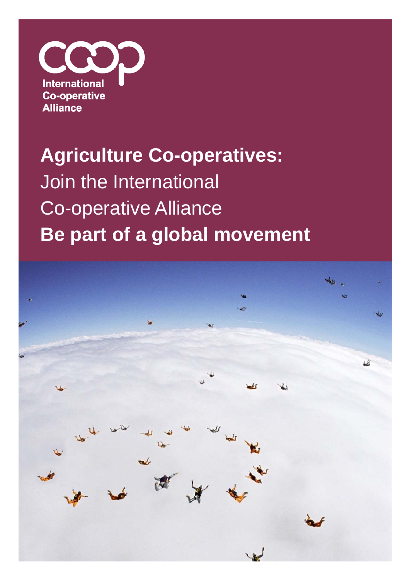

## **Agriculture Co-operatives:**  Join the International Co-operative Alliance **Be part of a global movement**